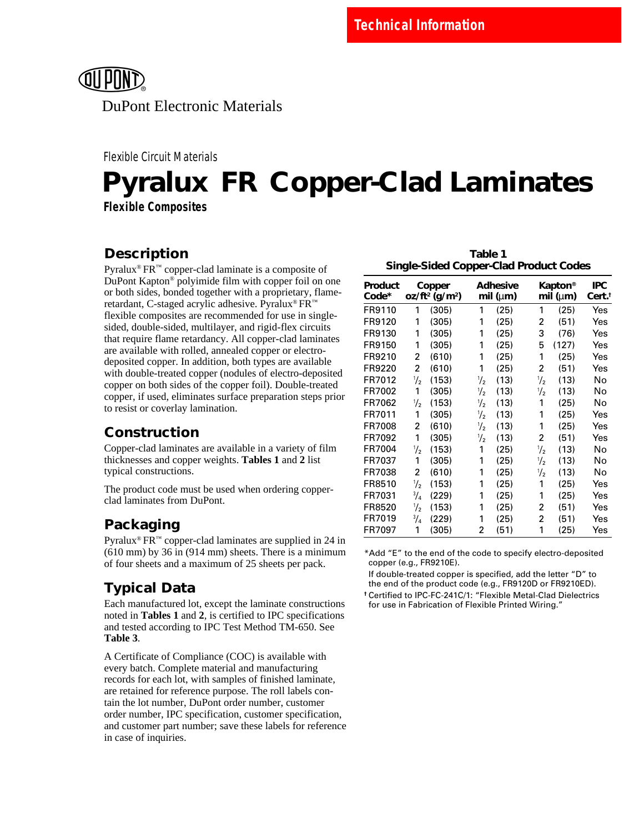

Flexible Circuit Materials

# **Pyralux<sup>®</sup> FR<sup>™</sup> Copper-Clad Laminates Flexible Composites**

## **Description**

Pyralux<sup>®</sup>  $FR^m$  copper-clad laminate is a composite of DuPont Kapton® polyimide film with copper foil on one or both sides, bonded together with a proprietary, flameretardant, C-staged acrylic adhesive. Pyralux® FR™ flexible composites are recommended for use in singlesided, double-sided, multilayer, and rigid-flex circuits that require flame retardancy. All copper-clad laminates are available with rolled, annealed copper or electrodeposited copper. In addition, both types are available with double-treated copper (nodules of electro-deposited copper on both sides of the copper foil). Double-treated copper, if used, eliminates surface preparation steps prior to resist or coverlay lamination.

### **Construction**

Copper-clad laminates are available in a variety of film thicknesses and copper weights. **Tables 1** and **2** list typical constructions.

The product code must be used when ordering copperclad laminates from DuPont.

## **Packaging**

Pyralux<sup>®</sup>  $FR^m$  copper-clad laminates are supplied in 24 in (610 mm) by 36 in (914 mm) sheets. There is a minimum of four sheets and a maximum of 25 sheets per pack.

## **Typical Data**

Each manufactured lot, except the laminate constructions noted in **Tables 1** and **2**, is certified to IPC specifications and tested according to IPC Test Method TM-650. See **Table 3**.

A Certificate of Compliance (COC) is available with every batch. Complete material and manufacturing records for each lot, with samples of finished laminate, are retained for reference purpose. The roll labels contain the lot number, DuPont order number, customer order number, IPC specification, customer specification, and customer part number; save these labels for reference in case of inquiries.

|                                               | Table 1 |  |
|-----------------------------------------------|---------|--|
| <b>Single-Sided Copper-Clad Product Codes</b> |         |  |

| Product<br>Code* |               | Copper<br>$oz/ft^2$ (g/m <sup>2</sup> ) |               | <b>Adhesive</b><br>mil ( $\mu$ m) |               | Kapton®<br>mil ( $\mu$ m) | IPC<br>Cert.† |
|------------------|---------------|-----------------------------------------|---------------|-----------------------------------|---------------|---------------------------|---------------|
| FR9110           | 1             | (305)                                   | 1             | (25)                              | 1             | (25)                      | Yes           |
| FR9120           | 1             | (305)                                   | 1             | (25)                              | 2             | (51)                      | Yes           |
| FR9130           | 1             | (305)                                   | 1             | (25)                              | 3             | (76)                      | Yes           |
| FR9150           | 1             | (305)                                   | 1             | (25)                              | 5             | (127)                     | Yes           |
| FR9210           | 2             | (610)                                   | 1             | (25)                              | 1             | (25)                      | Yes           |
| FR9220           | 2             | (610)                                   | 1             | (25)                              | 2             | (51)                      | Yes           |
| FR7012           | $\frac{1}{2}$ | (153)                                   | $\frac{1}{2}$ | (13)                              | $\frac{1}{2}$ | (13)                      | No            |
| FR7002           | 1             | (305)                                   | 1/2           | (13)                              | $\frac{1}{2}$ | (13)                      | No            |
| FR7062           | $\frac{1}{2}$ | (153)                                   | $\frac{1}{2}$ | (13)                              | 1             | (25)                      | No            |
| FR7011           | 1             | (305)                                   | $\frac{1}{2}$ | (13)                              | 1             | (25)                      | Yes           |
| FR7008           | 2             | (610)                                   | 1/2           | (13)                              | 1             | (25)                      | Yes           |
| FR7092           | 1             | (305)                                   | $\frac{1}{2}$ | (13)                              | 2             | (51)                      | Yes           |
| FR7004           | $\frac{1}{2}$ | (153)                                   | 1             | (25)                              | $\frac{1}{2}$ | (13)                      | No            |
| FR7037           | 1             | (305)                                   | 1             | (25)                              | ⅓             | (13)                      | No            |
| FR7038           | 2             | (610)                                   | 1             | (25)                              | $\frac{1}{2}$ | (13)                      | No            |
| FR8510           | $\frac{1}{2}$ | (153)                                   | 1             | (25)                              | 1             | (25)                      | Yes           |
| FR7031           | 3/4           | (229)                                   | 1             | (25)                              | 1             | (25)                      | Yes           |
| FR8520           | $\frac{1}{2}$ | (153)                                   | 1             | (25)                              | 2             | (51)                      | Yes           |
| FR7019           | $^{3}/_{4}$   | (229)                                   | 1             | (25)                              | 2             | (51)                      | Yes           |
| FR7097           | 1             | (305)                                   | 2             | (51)                              | 1             | (25)                      | Yes           |

\*Add "E" to the end of the code to specify electro-deposited copper (e.g., FR9210E).

If double-treated copper is specified, add the letter "D" to the end of the product code (e.g., FR9120D or FR9210ED).

**†** Certified to IPC-FC-241C/1: "Flexible Metal-Clad Dielectrics for use in Fabrication of Flexible Printed Wiring."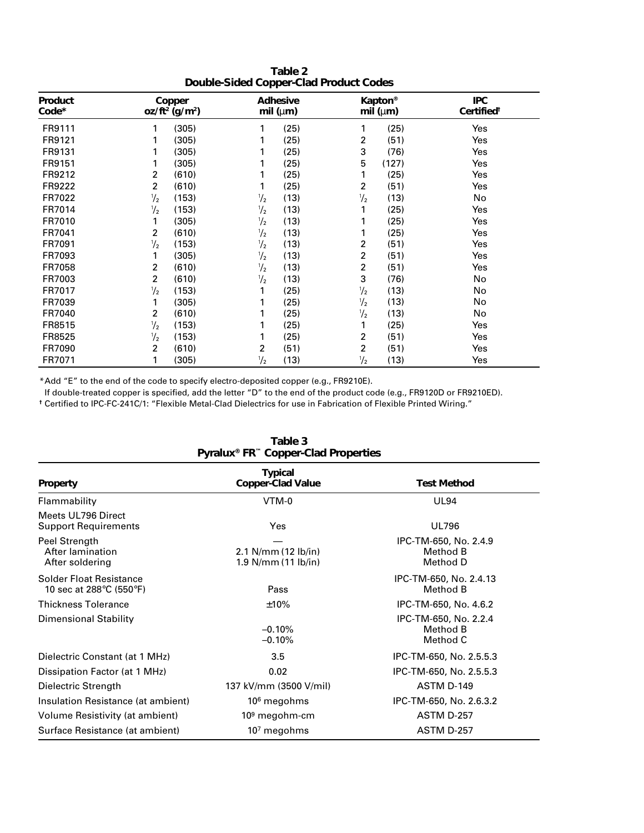|                                        | Table 2 |  |
|----------------------------------------|---------|--|
| Double-Sided Copper-Clad Product Codes |         |  |

| Product<br>Code* |               | Copper<br>$oz/ft^2$ (g/m <sup>2</sup> ) |               | Adhesive<br>mil ( $\mu$ m) |                | <b>Kapton®</b><br>mil ( $\mu$ m) | <b>IPC</b><br>Certified <sup>®</sup> |
|------------------|---------------|-----------------------------------------|---------------|----------------------------|----------------|----------------------------------|--------------------------------------|
| FR9111           | 1             | (305)                                   | 1             | (25)                       | 1              | (25)                             | Yes                                  |
| FR9121           |               | (305)                                   |               | (25)                       | 2              | (51)                             | Yes                                  |
| FR9131           |               | (305)                                   |               | (25)                       | 3              | (76)                             | Yes                                  |
| FR9151           | 1             | (305)                                   |               | (25)                       | 5              | (127)                            | Yes                                  |
| FR9212           | 2             | (610)                                   |               | (25)                       | 1              | (25)                             | Yes                                  |
| FR9222           | 2             | (610)                                   | 1             | (25)                       | 2              | (51)                             | Yes                                  |
| FR7022           | $\frac{1}{2}$ | (153)                                   | $\frac{1}{2}$ | (13)                       | $\frac{1}{2}$  | (13)                             | No                                   |
| FR7014           | $\frac{1}{2}$ | (153)                                   | $\frac{1}{2}$ | (13)                       | 1              | (25)                             | Yes                                  |
| FR7010           |               | (305)                                   | $\frac{1}{2}$ | (13)                       |                | (25)                             | Yes                                  |
| FR7041           | 2             | (610)                                   | $\frac{1}{2}$ | (13)                       | 1              | (25)                             | Yes                                  |
| FR7091           | $\frac{1}{2}$ | (153)                                   | $\frac{1}{2}$ | (13)                       | 2              | (51)                             | Yes                                  |
| FR7093           | 1             | (305)                                   | $\frac{1}{2}$ | (13)                       | $\overline{c}$ | (51)                             | Yes                                  |
| FR7058           | 2             | (610)                                   | $\frac{1}{2}$ | (13)                       | 2              | (51)                             | Yes                                  |
| FR7003           | 2             | (610)                                   | $\frac{1}{2}$ | (13)                       | 3              | (76)                             | No                                   |
| FR7017           | $\frac{1}{2}$ | (153)                                   |               | (25)                       | $\frac{1}{2}$  | (13)                             | No                                   |
| FR7039           |               | (305)                                   |               | (25)                       | $\frac{1}{2}$  | (13)                             | No                                   |
| FR7040           | 2             | (610)                                   |               | (25)                       | $\frac{1}{2}$  | (13)                             | No                                   |
| FR8515           | $\frac{1}{2}$ | (153)                                   |               | (25)                       | 1              | (25)                             | Yes                                  |
| FR8525           | $\frac{1}{2}$ | (153)                                   |               | (25)                       | 2              | (51)                             | Yes                                  |
| FR7090           | 2             | (610)                                   | 2             | (51)                       | 2              | (51)                             | Yes                                  |
| FR7071           |               | (305)                                   | $\frac{1}{2}$ | (13)                       | $\frac{1}{2}$  | (13)                             | Yes                                  |

\*Add "E" to the end of the code to specify electro-deposited copper (e.g., FR9210E).

If double-treated copper is specified, add the letter "D" to the end of the product code (e.g., FR9120D or FR9210ED).

**†** Certified to IPC-FC-241C/1: "Flexible Metal-Clad Dielectrics for use in Fabrication of Flexible Printed Wiring."

| Pyralux® FR Copper-Clad Properties                        |                                              |                                               |  |  |
|-----------------------------------------------------------|----------------------------------------------|-----------------------------------------------|--|--|
| <b>Property</b>                                           | Typical<br><b>Copper-Clad Value</b>          | <b>Test Method</b>                            |  |  |
| Flammability                                              | VTM-0                                        | <b>UL94</b>                                   |  |  |
| Meets UL796 Direct<br><b>Support Requirements</b>         | Yes                                          | <b>UL796</b>                                  |  |  |
| Peel Strength<br>After lamination<br>After soldering      | 2.1 N/mm $(12 lb/in)$<br>1.9 N/mm (11 lb/in) | IPC-TM-650, No. 2.4.9<br>Method B<br>Method D |  |  |
| <b>Solder Float Resistance</b><br>10 sec at 288°C (550°F) | Pass                                         | IPC-TM-650, No. 2.4.13<br>Method B            |  |  |
| <b>Thickness Tolerance</b>                                | ±10%                                         | IPC-TM-650, No. 4.6.2                         |  |  |
| <b>Dimensional Stability</b>                              | $-0.10%$<br>$-0.10%$                         | IPC-TM-650, No. 2.2.4<br>Method B<br>Method C |  |  |
| Dielectric Constant (at 1 MHz)                            | 3.5                                          | IPC-TM-650, No. 2.5.5.3                       |  |  |
| Dissipation Factor (at 1 MHz)                             | 0.02                                         | IPC-TM-650, No. 2.5.5.3                       |  |  |
| Dielectric Strength                                       | 137 kV/mm (3500 V/mil)                       | ASTM D-149                                    |  |  |
| Insulation Resistance (at ambient)                        | 10 <sup>6</sup> megohms                      | IPC-TM-650, No. 2.6.3.2                       |  |  |
| Volume Resistivity (at ambient)                           | $109$ megohm-cm                              | <b>ASTM D-257</b>                             |  |  |
| Surface Resistance (at ambient)                           | $107$ megohms                                | <b>ASTM D-257</b>                             |  |  |

|  | Table 3                                                     |  |
|--|-------------------------------------------------------------|--|
|  | Pyralux <sup>®</sup> FR <sup>™</sup> Copper-Clad Properties |  |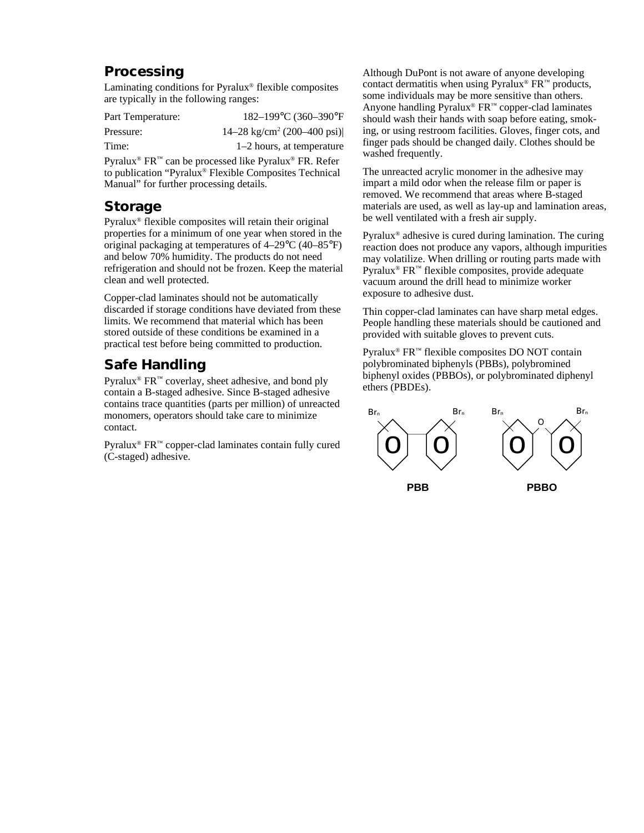#### **Processing**

Laminating conditions for Pyralux® flexible composites are typically in the following ranges:

| Part Temperature: | 182-199°C (360-390°F                                                                                                                                                                                                   |
|-------------------|------------------------------------------------------------------------------------------------------------------------------------------------------------------------------------------------------------------------|
| Pressure:         | 14–28 kg/cm <sup>2</sup> (200–400 psi)                                                                                                                                                                                 |
| Time:             | $1-2$ hours, at temperature                                                                                                                                                                                            |
|                   | $\mathbf{D}_{\text{true}}$ on $\mathbb{R}$ $\mathbf{D}^{\text{TM}}$ and $\mathbf{L}_{\text{true}}$ and $\mathbf{L}_{\text{true}}$ and $\mathbf{D}_{\text{true}}$ $\mathbf{D}_{\text{true}}$ $\mathbf{D}_{\text{true}}$ |

Pyralux® FR™ can be processed like Pyralux® FR. Refer to publication "Pyralux® Flexible Composites Technical Manual" for further processing details.

#### **Storage**

Pyralux® flexible composites will retain their original properties for a minimum of one year when stored in the original packaging at temperatures of 4–29°C (40–85°F) and below 70% humidity. The products do not need refrigeration and should not be frozen. Keep the material clean and well protected.

Copper-clad laminates should not be automatically discarded if storage conditions have deviated from these limits. We recommend that material which has been stored outside of these conditions be examined in a practical test before being committed to production.

### **Safe Handling**

Pyralux<sup>®</sup> FR<sup>™</sup> coverlay, sheet adhesive, and bond ply contain a B-staged adhesive. Since B-staged adhesive contains trace quantities (parts per million) of unreacted monomers, operators should take care to minimize contact.

Pyralux® FR™ copper-clad laminates contain fully cured (C-staged) adhesive.

Although DuPont is not aware of anyone developing contact dermatitis when using Pyralux<sup>®</sup>  $FR<sup>™</sup>$  products, some individuals may be more sensitive than others. Anyone handling Pyralux<sup>®</sup>  $FR^{m}$  copper-clad laminates should wash their hands with soap before eating, smoking, or using restroom facilities. Gloves, finger cots, and finger pads should be changed daily. Clothes should be washed frequently.

The unreacted acrylic monomer in the adhesive may impart a mild odor when the release film or paper is removed. We recommend that areas where B-staged materials are used, as well as lay-up and lamination areas, be well ventilated with a fresh air supply.

Pyralux® adhesive is cured during lamination. The curing reaction does not produce any vapors, although impurities may volatilize. When drilling or routing parts made with Pyralux® FR™ flexible composites, provide adequate vacuum around the drill head to minimize worker exposure to adhesive dust.

Thin copper-clad laminates can have sharp metal edges. People handling these materials should be cautioned and provided with suitable gloves to prevent cuts.

Pyralux® FR™ flexible composites DO NOT contain polybrominated biphenyls (PBBs), polybromined biphenyl oxides (PBBOs), or polybrominated diphenyl ethers (PBDEs).